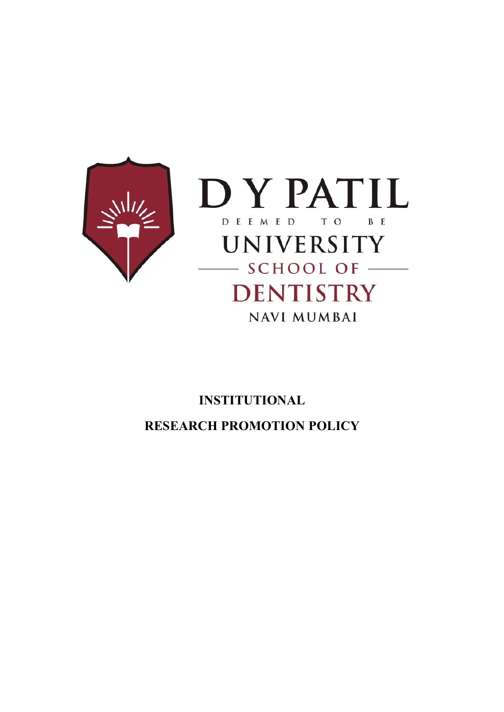



# INSTITUTIONAL RESEARCH PROMOTION POLICY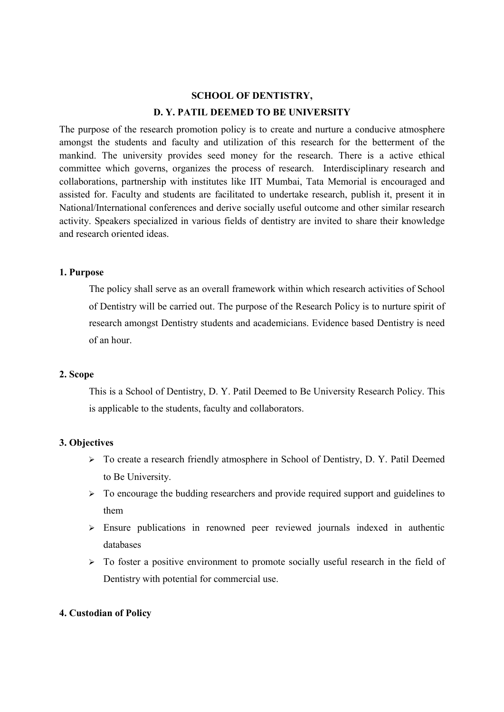# SCHOOL OF DENTISTRY, D. Y. PATIL DEEMED TO BE UNIVERSITY

The purpose of the research promotion policy is to create and nurture a conducive atmosphere amongst the students and faculty and utilization of this research for the betterment of the mankind. The university provides seed money for the research. There is a active ethical committee which governs, organizes the process of research. Interdisciplinary research and collaborations, partnership with institutes like IIT Mumbai, Tata Memorial is encouraged and assisted for. Faculty and students are facilitated to undertake research, publish it, present it in National/International conferences and derive socially useful outcome and other similar research activity. Speakers specialized in various fields of dentistry are invited to share their knowledge and research oriented ideas.

# 1. Purpose

The policy shall serve as an overall framework within which research activities of School of Dentistry will be carried out. The purpose of the Research Policy is to nurture spirit of research amongst Dentistry students and academicians. Evidence based Dentistry is need of an hour.

# 2. Scope

This is a School of Dentistry, D. Y. Patil Deemed to Be University Research Policy. This is applicable to the students, faculty and collaborators.

# 3. Objectives

- $\triangleright$  To create a research friendly atmosphere in School of Dentistry, D. Y. Patil Deemed to Be University.
- $\triangleright$  To encourage the budding researchers and provide required support and guidelines to them
- $\geq$  Ensure publications in renowned peer reviewed journals indexed in authentic databases
- $\triangleright$  To foster a positive environment to promote socially useful research in the field of Dentistry with potential for commercial use.

# 4. Custodian of Policy